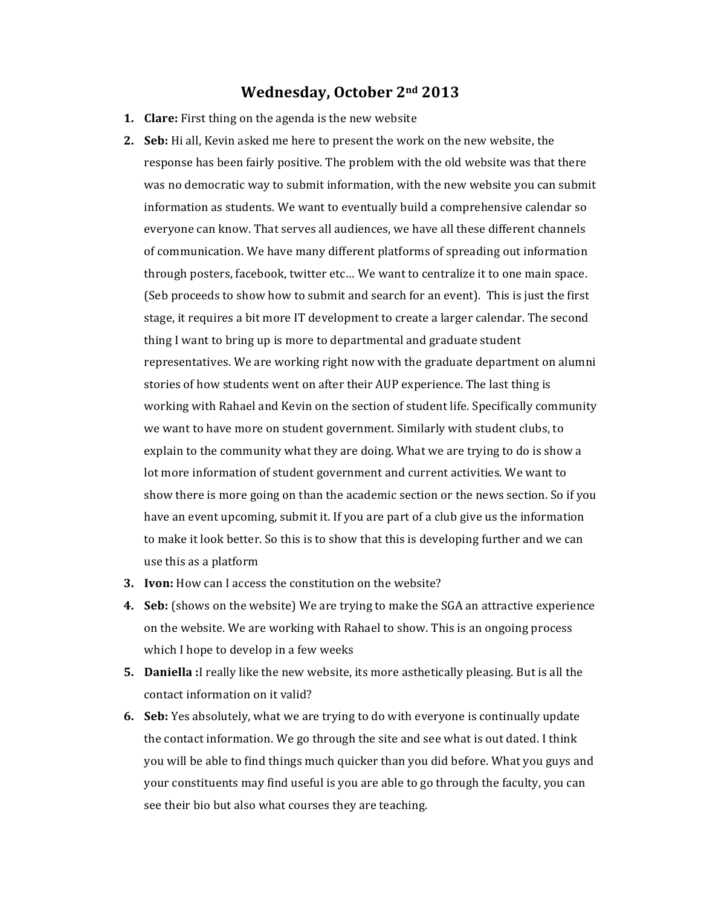## **Wednesday, October 2nd 2013**

- **1. Clare:** First thing on the agenda is the new website
- **2. Seb:** Hi all, Kevin asked me here to present the work on the new website, the response has been fairly positive. The problem with the old website was that there was no democratic way to submit information, with the new website you can submit information as students. We want to eventually build a comprehensive calendar so everyone can know. That serves all audiences, we have all these different channels of communication. We have many different platforms of spreading out information through posters, facebook, twitter etc... We want to centralize it to one main space. (Seb proceeds to show how to submit and search for an event). This is just the first stage, it requires a bit more IT development to create a larger calendar. The second thing I want to bring up is more to departmental and graduate student representatives. We are working right now with the graduate department on alumni stories of how students went on after their AUP experience. The last thing is working with Rahael and Kevin on the section of student life. Specifically community we want to have more on student government. Similarly with student clubs, to explain to the community what they are doing. What we are trying to do is show a lot more information of student government and current activities. We want to show there is more going on than the academic section or the news section. So if you have an event upcoming, submit it. If you are part of a club give us the information to make it look better. So this is to show that this is developing further and we can use this as a platform
- **3. Ivon:** How can I access the constitution on the website?
- **4.** Seb: (shows on the website) We are trying to make the SGA an attractive experience on the website. We are working with Rahael to show. This is an ongoing process which I hope to develop in a few weeks
- **5. Daniella** :I really like the new website, its more asthetically pleasing. But is all the contact information on it valid?
- **6.** Seb: Yes absolutely, what we are trying to do with everyone is continually update the contact information. We go through the site and see what is out dated. I think you will be able to find things much quicker than you did before. What you guys and your constituents may find useful is you are able to go through the faculty, you can see their bio but also what courses they are teaching.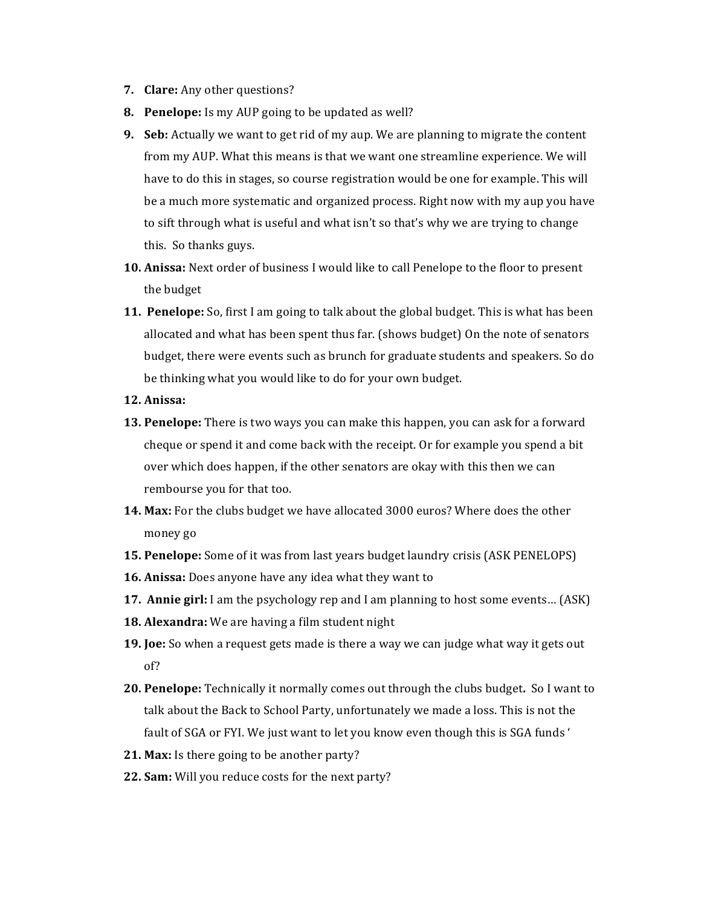- **7. Clare:** Any other questions?
- **8.** Penelope: Is my AUP going to be updated as well?
- **9.** Seb: Actually we want to get rid of my aup. We are planning to migrate the content from my AUP. What this means is that we want one streamline experience. We will have to do this in stages, so course registration would be one for example. This will be a much more systematic and organized process. Right now with my aup you have to sift through what is useful and what isn't so that's why we are trying to change this. So thanks guys.
- **10. Anissa:** Next order of business I would like to call Penelope to the floor to present the budget
- **11. Penelope:** So, first I am going to talk about the global budget. This is what has been allocated and what has been spent thus far. (shows budget) On the note of senators budget, there were events such as brunch for graduate students and speakers. So do be thinking what you would like to do for your own budget.
- **12. Anissa:**
- **13. Penelope:** There is two ways you can make this happen, you can ask for a forward cheque or spend it and come back with the receipt. Or for example you spend a bit over which does happen, if the other senators are okay with this then we can rembourse you for that too.
- **14. Max:** For the clubs budget we have allocated 3000 euros? Where does the other money go
- **15. Penelope:** Some of it was from last years budget laundry crisis (ASK PENELOPS)
- **16. Anissa:** Does anyone have any idea what they want to
- **17. Annie girl:** I am the psychology rep and I am planning to host some events... (ASK)
- **18. Alexandra:** We are having a film student night
- **19. Joe:** So when a request gets made is there a way we can judge what way it gets out of?
- **20. Penelope:** Technically it normally comes out through the clubs budget. So I want to talk about the Back to School Party, unfortunately we made a loss. This is not the fault of SGA or FYI. We just want to let you know even though this is SGA funds '
- **21. Max:** Is there going to be another party?
- **22. Sam:** Will you reduce costs for the next party?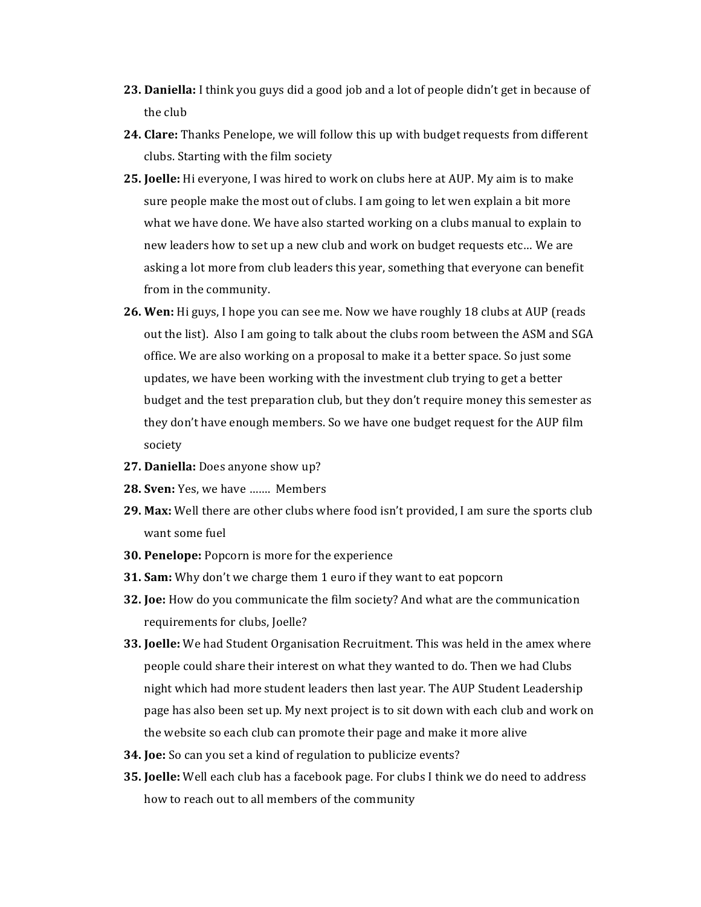- **23. Daniella:** I think you guys did a good job and a lot of people didn't get in because of the club
- **24. Clare:** Thanks Penelope, we will follow this up with budget requests from different clubs. Starting with the film society
- **25. Joelle:** Hi everyone, I was hired to work on clubs here at AUP. My aim is to make sure people make the most out of clubs. I am going to let wen explain a bit more what we have done. We have also started working on a clubs manual to explain to new leaders how to set up a new club and work on budget requests etc... We are asking a lot more from club leaders this year, something that everyone can benefit from in the community.
- **26. Wen:** Hi guys, I hope you can see me. Now we have roughly 18 clubs at AUP (reads out the list). Also I am going to talk about the clubs room between the ASM and SGA office. We are also working on a proposal to make it a better space. So just some updates, we have been working with the investment club trying to get a better budget and the test preparation club, but they don't require money this semester as they don't have enough members. So we have one budget request for the AUP film society
- **27.** Daniella: Does anyone show up?
- **28. Sven:** Yes, we have ....... Members
- **29. Max:** Well there are other clubs where food isn't provided, I am sure the sports club want some fuel
- **30. Penelope:** Popcorn is more for the experience
- **31. Sam:** Why don't we charge them 1 euro if they want to eat popcorn
- **32. Joe:** How do you communicate the film society? And what are the communication requirements for clubs, Joelle?
- **33. Joelle:** We had Student Organisation Recruitment. This was held in the amex where people could share their interest on what they wanted to do. Then we had Clubs night which had more student leaders then last year. The AUP Student Leadership page has also been set up. My next project is to sit down with each club and work on the website so each club can promote their page and make it more alive
- **34. Joe:** So can you set a kind of regulation to publicize events?
- **35. Joelle:** Well each club has a facebook page. For clubs I think we do need to address how to reach out to all members of the community